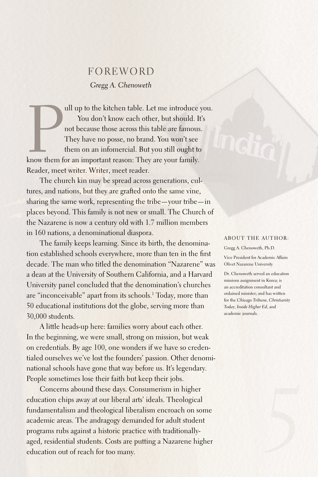## **FOREWORD** *Gregg A. Chenoweth*

all up to the kitchen table. Let me introduce<br>You don't know each other, but should. I<br>not because those across this table are famous.<br>They have no posse, no brand. You won't see<br>them on an infomercial. But you still ought ull up to the kitchen table.Let me introduce you. You don't know each other, but should. It's not because those across this table are famous. They have no posse, no brand. You won't see them on an infomercial. But you still ought to Reader, meet writer. Writer, meet reader.

The church kin may be spread across generations, cultures, and nations, but they are grafted onto the same vine, sharing the same work, representing the tribe—your tribe—in places beyond. This family is not new or small. The Church of the Nazarene is now a century old with 1.7 million members in 160 nations, a denominational diaspora.

The family keeps learning. Since its birth, the denomination established schools everywhere, more than ten in the first decade. The man who titled the denomination "Nazarene" was a dean at the University of Southern California, and a Harvard University panel concluded that the denomination's churches are "inconceivable" apart from its schools. 1 Today, more than 50 educational institutions dot the globe, serving more than 30,000 students.

A little heads-up here: families worry about each other. In the beginning, we were small, strong on mission, but weak on credentials.By age 100, one wonders if we have so credentialed ourselves we've lost the founders' passion. Other denominational schools have gone that way before us. It's legendary. People sometimes lose their faith but keep their jobs.

Concerns abound these days. Consumerism in higher education chips away at our liberal arts' ideals. Theological fundamentalism and theological liberalism encroach on some academic areas. The andragogy demanded for adult student programs rubs against a historic practice with traditionallyaged, residential students. Costs are putting a Nazarene higher education out of reach for too many.

## ABOUT THE AUTHOR:

Gregg A. Chenoweth, Ph.D. Vice President for Academic Affairs Olivet Nazarene University

Dr. Chenoweth served an education missions assignment in Korea; is an accreditation consultant and ordained minister; and has written for the *Chicago Tribune, Christianity Today, Inside Higher Ed*, and academic journals.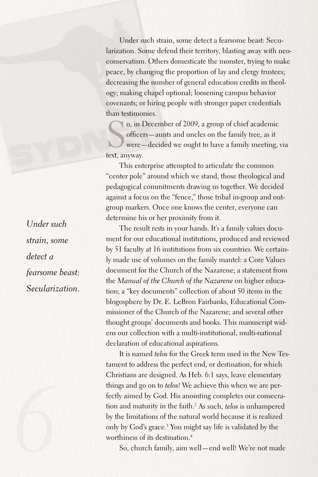Under such strain, some detect a fearsome beast: Secularization. Some defend their territory, blasting away with neoconservatism. Others domesticate the monster, trying to make peace, by changing the proportion of lay and clergy trustees; decreasing the number of general education credits in theology; making chapel optional; loosening campus behavior covenants; or hiring people with stronger paper credentials than testimonies.

S o, in December of 2009, a group of chief academic officers—aunts and uncles on the family tree, as it were—decided we ought to have a family meeting, via text, anyway.

This enterprise attempted to articulate the common "center pole" around which we stand, those theological and pedagogical commitments drawing us together. We decided against a focus on the "fence," those tribal in-group and outgroup markers. Once one knows the center, everyone can determine his or her proximity from it.

The result rests in your hands. It's a family values document for our educational institutions, produced and reviewed by 51 faculty at 16 institutions from six countries. We certainly made use of volumes on the family mantel: a Core Values document for the Church of the Nazarene; a statement from the *Manual of the Church of the Nazarene* on higher education; a "key documents" collection of about 50 items in the blogosphere by Dr.E.LeBron Fairbanks, Educational Commissioner of the Church of the Nazarene; and several other thought groups' documents and books. This manuscript widens our collection with a multi-institutional, multi-national declaration of educational aspirations.

It is named *telos* for the Greek term used in the New Testament to address the perfect end, or destination, for which Christians are designed.As Heb. 6:1 says, leave elementary things and go on to *telos!* We achieve this when we are perfectly aimed by God. His anointing completes our consecration and maturity in the faith. <sup>2</sup> As such, *telos* is unhampered by the limitations of the natural world because it is realized only by God's grace. 3 You might say life is validated by the worthiness of its destination. 4

So, church family, aim well—end well! We're not made

*Under such strain, some detect a fearsome beast: Secularization.*

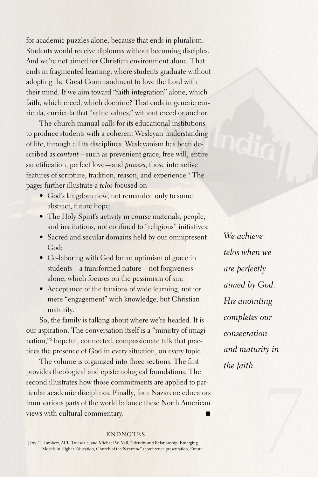for academic puzzles alone, because that ends in pluralism. Students would receive diplomas without becoming disciples. And we're not aimed for Christian environment alone. That ends in fragmented learning, where students graduate without adopting the Great Commandment to love the Lord with their mind. If we aim toward "faith integration" alone, which faith, which creed, which doctrine? That ends in generic curricula, curricula that "value values," without creed or anchor.

The church manual calls for its educational institutions to produce students with a coherent Wesleyan understanding of life, through all its disciplines. Wesleyanism has been described as *content*—such as prevenient grace, free will, entire sanctification, perfect love—and *process*, those interactive features of scripture, tradition, reason, and experience. 5 The pages further illustrate a *telos* focused on

- God's kingdom now, not remanded only to some abstract, future hope;
- The Holy Spirit's activity in course materials, people, and institutions, not confined to "religious" initiatives;
- Sacred and secular domains held by our omnipresent God;
- Co-laboring with God for an optimism of grace in students—a transformed nature—not forgiveness alone, which focuses on the pessimism of sin;
- Acceptance of the tensions of wide learning, not for mere "engagement" with knowledge, but Christian maturity.

So, the family is talking about where we're headed. It is our aspiration. The conversation itself is a "ministry of imagination,"6 hopeful, connected, compassionate talk that practices the presence of God in every situation, on every topic.

The volume is organized into three sections. The first provides theological and epistemological foundations. The second illustrates how those commitments are applied to particular academic disciplines. Finally, four Nazarene educators from various parts of the world balance these North American views with cultural commentary.

*telos when we are perfectly aimed by God. His anointing completes our consecration and maturity in the faith.*

*We achieve* 

## **ENDNOTES**

1 Jerry. T.Lambert, Al T. Truesdale, and Michael W. Vail, "Identity and Relationship: Emerging Models in Higher Education, Church of the Nazarene" (conference presentation, Future